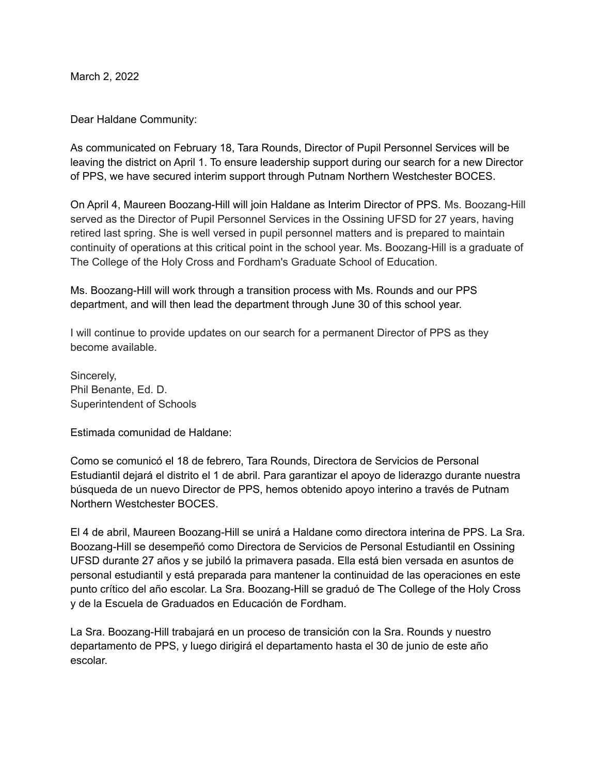March 2, 2022

Dear Haldane Community:

As communicated on February 18, Tara Rounds, Director of Pupil Personnel Services will be leaving the district on April 1. To ensure leadership support during our search for a new Director of PPS, we have secured interim support through Putnam Northern Westchester BOCES.

On April 4, Maureen Boozang-Hill will join Haldane as Interim Director of PPS. Ms. Boozang-Hill served as the Director of Pupil Personnel Services in the Ossining UFSD for 27 years, having retired last spring. She is well versed in pupil personnel matters and is prepared to maintain continuity of operations at this critical point in the school year. Ms. Boozang-Hill is a graduate of The College of the Holy Cross and Fordham's Graduate School of Education.

Ms. Boozang-Hill will work through a transition process with Ms. Rounds and our PPS department, and will then lead the department through June 30 of this school year.

I will continue to provide updates on our search for a permanent Director of PPS as they become available.

Sincerely, Phil Benante, Ed. D. Superintendent of Schools

Estimada comunidad de Haldane:

Como se comunicó el 18 de febrero, Tara Rounds, Directora de Servicios de Personal Estudiantil dejará el distrito el 1 de abril. Para garantizar el apoyo de liderazgo durante nuestra búsqueda de un nuevo Director de PPS, hemos obtenido apoyo interino a través de Putnam Northern Westchester BOCES.

El 4 de abril, Maureen Boozang-Hill se unirá a Haldane como directora interina de PPS. La Sra. Boozang-Hill se desempeñó como Directora de Servicios de Personal Estudiantil en Ossining UFSD durante 27 años y se jubiló la primavera pasada. Ella está bien versada en asuntos de personal estudiantil y está preparada para mantener la continuidad de las operaciones en este punto crítico del año escolar. La Sra. Boozang-Hill se graduó de The College of the Holy Cross y de la Escuela de Graduados en Educación de Fordham.

La Sra. Boozang-Hill trabajará en un proceso de transición con la Sra. Rounds y nuestro departamento de PPS, y luego dirigirá el departamento hasta el 30 de junio de este año escolar.